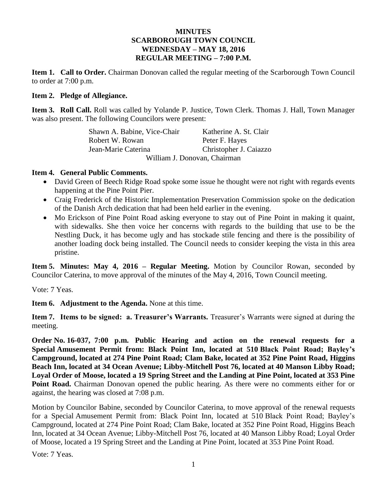## **MINUTES SCARBOROUGH TOWN COUNCIL WEDNESDAY – MAY 18, 2016 REGULAR MEETING – 7:00 P.M.**

**Item 1. Call to Order.** Chairman Donovan called the regular meeting of the Scarborough Town Council to order at 7:00 p.m.

### **Item 2. Pledge of Allegiance.**

**Item 3. Roll Call.** Roll was called by Yolande P. Justice, Town Clerk. Thomas J. Hall, Town Manager was also present. The following Councilors were present:

> Shawn A. Babine, Vice-Chair Katherine A. St. Clair Robert W. Rowan Peter F. Hayes Jean-Marie Caterina Christopher J. Caiazzo William J. Donovan, Chairman

### **Item 4. General Public Comments.**

- David Green of Beech Ridge Road spoke some issue he thought were not right with regards events happening at the Pine Point Pier.
- Craig Frederick of the Historic Implementation Preservation Commission spoke on the dedication of the Danish Arch dedication that had been held earlier in the evening.
- Mo Erickson of Pine Point Road asking everyone to stay out of Pine Point in making it quaint, with sidewalks. She then voice her concerns with regards to the building that use to be the Nestling Duck, it has become ugly and has stockade stile fencing and there is the possibility of another loading dock being installed. The Council needs to consider keeping the vista in this area pristine.

**Item 5. Minutes: May 4, 2016 – Regular Meeting.** Motion by Councilor Rowan, seconded by Councilor Caterina, to move approval of the minutes of the May 4, 2016, Town Council meeting.

Vote: 7 Yeas.

**Item 6. Adjustment to the Agenda.** None at this time.

**Item 7. Items to be signed: a. Treasurer's Warrants.** Treasurer's Warrants were signed at during the meeting.

**Order No. 16-037, 7:00 p.m. Public Hearing and action on the renewal requests for a Special Amusement Permit from: Black Point Inn, located at 510 Black Point Road; Bayley's Campground, located at 274 Pine Point Road; Clam Bake, located at 352 Pine Point Road, Higgins Beach Inn, located at 34 Ocean Avenue; Libby-Mitchell Post 76, located at 40 Manson Libby Road; Loyal Order of Moose, located a 19 Spring Street and the Landing at Pine Point, located at 353 Pine Point Road.** Chairman Donovan opened the public hearing. As there were no comments either for or against, the hearing was closed at 7:08 p.m.

Motion by Councilor Babine, seconded by Councilor Caterina, to move approval of the renewal requests for a Special Amusement Permit from: Black Point Inn, located at 510 Black Point Road; Bayley's Campground, located at 274 Pine Point Road; Clam Bake, located at 352 Pine Point Road, Higgins Beach Inn, located at 34 Ocean Avenue; Libby-Mitchell Post 76, located at 40 Manson Libby Road; Loyal Order of Moose, located a 19 Spring Street and the Landing at Pine Point, located at 353 Pine Point Road.

Vote: 7 Yeas.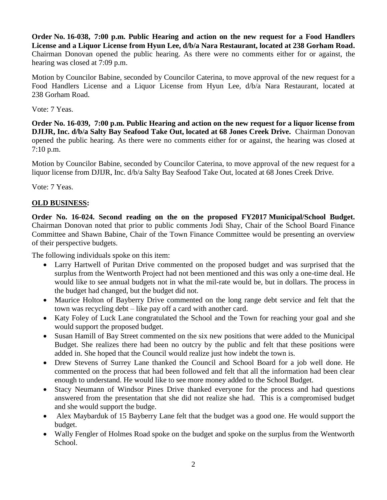**Order No. 16-038, 7:00 p.m. Public Hearing and action on the new request for a Food Handlers License and a Liquor License from Hyun Lee, d/b/a Nara Restaurant, located at 238 Gorham Road.** Chairman Donovan opened the public hearing. As there were no comments either for or against, the hearing was closed at 7:09 p.m.

Motion by Councilor Babine, seconded by Councilor Caterina, to move approval of the new request for a Food Handlers License and a Liquor License from Hyun Lee, d/b/a Nara Restaurant, located at 238 Gorham Road.

## Vote: 7 Yeas.

**Order No. 16-039, 7:00 p.m. Public Hearing and action on the new request for a liquor license from DJIJR, Inc. d/b/a Salty Bay Seafood Take Out, located at 68 Jones Creek Drive.** Chairman Donovan opened the public hearing. As there were no comments either for or against, the hearing was closed at 7:10 p.m.

Motion by Councilor Babine, seconded by Councilor Caterina, to move approval of the new request for a liquor license from DJIJR, Inc. d/b/a Salty Bay Seafood Take Out, located at 68 Jones Creek Drive.

Vote: 7 Yeas.

# **OLD BUSINESS:**

**Order No. 16-024. Second reading on the on the proposed FY2017 Municipal/School Budget.** Chairman Donovan noted that prior to public comments Jodi Shay, Chair of the School Board Finance Committee and Shawn Babine, Chair of the Town Finance Committee would be presenting an overview of their perspective budgets.

The following individuals spoke on this item:

- Larry Hartwell of Puritan Drive commented on the proposed budget and was surprised that the surplus from the Wentworth Project had not been mentioned and this was only a one-time deal. He would like to see annual budgets not in what the mil-rate would be, but in dollars. The process in the budget had changed, but the budget did not.
- Maurice Holton of Bayberry Drive commented on the long range debt service and felt that the town was recycling debt – like pay off a card with another card.
- Katy Foley of Luck Lane congratulated the School and the Town for reaching your goal and she would support the proposed budget.
- Susan Hamill of Bay Street commented on the six new positions that were added to the Municipal Budget. She realizes there had been no outcry by the public and felt that these positions were added in. She hoped that the Council would realize just how indebt the town is.
- Drew Stevens of Surrey Lane thanked the Council and School Board for a job well done. He commented on the process that had been followed and felt that all the information had been clear enough to understand. He would like to see more money added to the School Budget.
- Stacy Neumann of Windsor Pines Drive thanked everyone for the process and had questions answered from the presentation that she did not realize she had. This is a compromised budget and she would support the budge.
- Alex Maybarduk of 15 Bayberry Lane felt that the budget was a good one. He would support the budget.
- Wally Fengler of Holmes Road spoke on the budget and spoke on the surplus from the Wentworth School.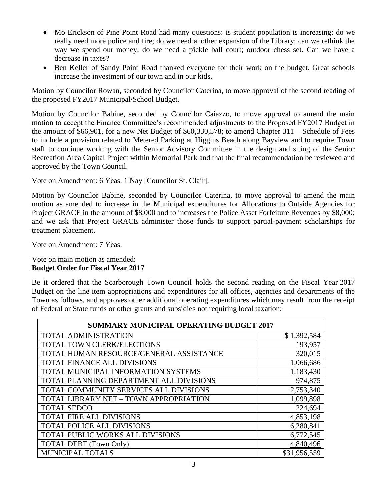- Mo Erickson of Pine Point Road had many questions: is student population is increasing; do we really need more police and fire; do we need another expansion of the Library; can we rethink the way we spend our money; do we need a pickle ball court; outdoor chess set. Can we have a decrease in taxes?
- Ben Keller of Sandy Point Road thanked everyone for their work on the budget. Great schools increase the investment of our town and in our kids.

Motion by Councilor Rowan, seconded by Councilor Caterina, to move approval of the second reading of the proposed FY2017 Municipal/School Budget.

Motion by Councilor Babine, seconded by Councilor Caiazzo, to move approval to amend the main motion to accept the Finance Committee's recommended adjustments to the Proposed FY2017 Budget in the amount of \$66,901, for a new Net Budget of \$60,330,578; to amend Chapter 311 – Schedule of Fees to include a provision related to Metered Parking at Higgins Beach along Bayview and to require Town staff to continue working with the Senior Advisory Committee in the design and siting of the Senior Recreation Area Capital Project within Memorial Park and that the final recommendation be reviewed and approved by the Town Council.

Vote on Amendment: 6 Yeas. 1 Nay [Councilor St. Clair].

Motion by Councilor Babine, seconded by Councilor Caterina, to move approval to amend the main motion as amended to increase in the Municipal expenditures for Allocations to Outside Agencies for Project GRACE in the amount of \$8,000 and to increases the Police Asset Forfeiture Revenues by \$8,000; and we ask that Project GRACE administer those funds to support partial-payment scholarships for treatment placement.

Vote on Amendment: 7 Yeas.

#### Vote on main motion as amended: **Budget Order for Fiscal Year 2017**

Be it ordered that the Scarborough Town Council holds the second reading on the Fiscal Year 2017 Budget on the line item appropriations and expenditures for all offices, agencies and departments of the Town as follows, and approves other additional operating expenditures which may result from the receipt of Federal or State funds or other grants and subsidies not requiring local taxation:

| <b>SUMMARY MUNICIPAL OPERATING BUDGET 2017</b> |              |  |
|------------------------------------------------|--------------|--|
| TOTAL ADMINISTRATION                           | \$1,392,584  |  |
| <b>TOTAL TOWN CLERK/ELECTIONS</b>              | 193,957      |  |
| TOTAL HUMAN RESOURCE/GENERAL ASSISTANCE        | 320,015      |  |
| TOTAL FINANCE ALL DIVISIONS                    | 1,066,686    |  |
| TOTAL MUNICIPAL INFORMATION SYSTEMS            | 1,183,430    |  |
| TOTAL PLANNING DEPARTMENT ALL DIVISIONS        | 974,875      |  |
| TOTAL COMMUNITY SERVICES ALL DIVISIONS         | 2,753,340    |  |
| TOTAL LIBRARY NET - TOWN APPROPRIATION         | 1,099,898    |  |
| <b>TOTAL SEDCO</b>                             | 224,694      |  |
| <b>TOTAL FIRE ALL DIVISIONS</b>                | 4,853,198    |  |
| <b>TOTAL POLICE ALL DIVISIONS</b>              | 6,280,841    |  |
| TOTAL PUBLIC WORKS ALL DIVISIONS               | 6,772,545    |  |
| <b>TOTAL DEBT</b> (Town Only)                  | 4,840,496    |  |
| <b>MUNICIPAL TOTALS</b>                        | \$31,956,559 |  |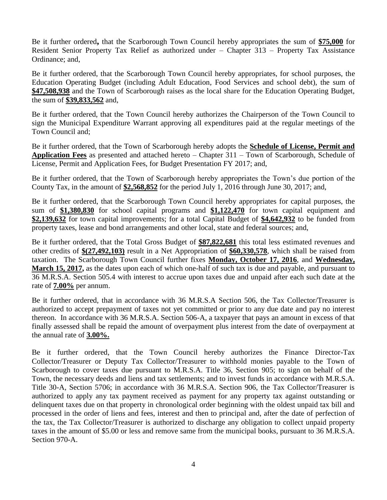Be it further ordered**,** that the Scarborough Town Council hereby appropriates the sum of **\$75,000** for Resident Senior Property Tax Relief as authorized under – Chapter 313 – Property Tax Assistance Ordinance; and,

Be it further ordered, that the Scarborough Town Council hereby appropriates, for school purposes, the Education Operating Budget (including Adult Education, Food Services and school debt), the sum of **\$47,508,938** and the Town of Scarborough raises as the local share for the Education Operating Budget, the sum of **\$39,833,562** and,

Be it further ordered, that the Town Council hereby authorizes the Chairperson of the Town Council to sign the Municipal Expenditure Warrant approving all expenditures paid at the regular meetings of the Town Council and;

Be it further ordered, that the Town of Scarborough hereby adopts the **Schedule of License, Permit and Application Fees** as presented and attached hereto – Chapter 311 – Town of Scarborough, Schedule of License, Permit and Application Fees, for Budget Presentation FY 2017; and,

Be it further ordered, that the Town of Scarborough hereby appropriates the Town's due portion of the County Tax, in the amount of **\$2,568,852** for the period July 1, 2016 through June 30, 2017; and,

Be it further ordered, that the Scarborough Town Council hereby appropriates for capital purposes, the sum of **\$1,380,830** for school capital programs and **\$1,122,470** for town capital equipment and **\$2,139,632** for town capital improvements; for a total Capital Budget of **\$4,642,932** to be funded from property taxes, lease and bond arrangements and other local, state and federal sources; and,

Be it further ordered, that the Total Gross Budget of **\$87,822,681** this total less estimated revenues and other credits of **\$(27,492,103)** result in a Net Appropriation of **\$60,330,578**, which shall be raised from taxation. The Scarborough Town Council further fixes **Monday, October 17, 2016**, and **Wednesday, March 15, 2017,** as the dates upon each of which one-half of such tax is due and payable, and pursuant to 36 M.R.S.A. Section 505.4 with interest to accrue upon taxes due and unpaid after each such date at the rate of **7.00%** per annum.

Be it further ordered, that in accordance with 36 M.R.S.A Section 506, the Tax Collector/Treasurer is authorized to accept prepayment of taxes not yet committed or prior to any due date and pay no interest thereon. In accordance with 36 M.R.S.A. Section 506-A, a taxpayer that pays an amount in excess of that finally assessed shall be repaid the amount of overpayment plus interest from the date of overpayment at the annual rate of **3.00%.**

Be it further ordered, that the Town Council hereby authorizes the Finance Director-Tax Collector/Treasurer or Deputy Tax Collector/Treasurer to withhold monies payable to the Town of Scarborough to cover taxes due pursuant to M.R.S.A. Title 36, Section 905; to sign on behalf of the Town, the necessary deeds and liens and tax settlements; and to invest funds in accordance with M.R.S.A. Title 30-A, Section 5706; in accordance with 36 M.R.S.A. Section 906, the Tax Collector/Treasurer is authorized to apply any tax payment received as payment for any property tax against outstanding or delinquent taxes due on that property in chronological order beginning with the oldest unpaid tax bill and processed in the order of liens and fees, interest and then to principal and, after the date of perfection of the tax, the Tax Collector/Treasurer is authorized to discharge any obligation to collect unpaid property taxes in the amount of \$5.00 or less and remove same from the municipal books, pursuant to 36 M.R.S.A. Section 970-A.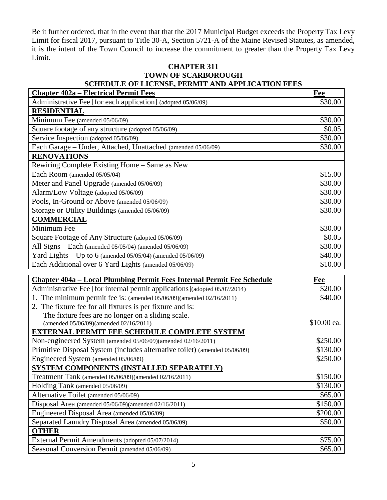Be it further ordered, that in the event that that the 2017 Municipal Budget exceeds the Property Tax Levy Limit for fiscal 2017, pursuant to Title 30-A, Section 5721-A of the Maine Revised Statutes, as amended, it is the intent of the Town Council to increase the commitment to greater than the Property Tax Levy Limit.

## **CHAPTER 311 TOWN OF SCARBOROUGH SCHEDULE OF LICENSE, PERMIT AND APPLICATION FEES**

| <b>Chapter 402a – Electrical Permit Fees</b>                                                                                                        | Fee            |
|-----------------------------------------------------------------------------------------------------------------------------------------------------|----------------|
| Administrative Fee [for each application] (adopted 05/06/09)                                                                                        | \$30.00        |
| <b>RESIDENTIAL</b>                                                                                                                                  |                |
| Minimum Fee (amended 05/06/09)                                                                                                                      | \$30.00        |
| Square footage of any structure (adopted 05/06/09)                                                                                                  | \$0.05         |
| Service Inspection (adopted 05/06/09)                                                                                                               | \$30.00        |
| Each Garage - Under, Attached, Unattached (amended 05/06/09)                                                                                        | \$30.00        |
| <b>RENOVATIONS</b>                                                                                                                                  |                |
| Rewiring Complete Existing Home - Same as New                                                                                                       |                |
| Each Room (amended 05/05/04)                                                                                                                        | \$15.00        |
| Meter and Panel Upgrade (amended 05/06/09)                                                                                                          | \$30.00        |
| Alarm/Low Voltage (adopted 05/06/09)                                                                                                                | \$30.00        |
| Pools, In-Ground or Above (amended 05/06/09)                                                                                                        | \$30.00        |
| Storage or Utility Buildings (amended 05/06/09)                                                                                                     | \$30.00        |
| <b>COMMERCIAL</b>                                                                                                                                   |                |
| Minimum Fee                                                                                                                                         | \$30.00        |
| Square Footage of Any Structure (adopted 05/06/09)                                                                                                  | \$0.05         |
| All Signs - Each (amended 05/05/04) (amended 05/06/09)                                                                                              | \$30.00        |
| Yard Lights - Up to 6 (amended 05/05/04) (amended 05/06/09)                                                                                         | \$40.00        |
| Each Additional over 6 Yard Lights (amended 05/06/09)                                                                                               | \$10.00        |
|                                                                                                                                                     |                |
| Chapter 404a – Local Plumbing Permit Fees Internal Permit Fee Schedule<br>Administrative Fee [for internal permit applications](adopted 05/07/2014) | Fee<br>\$20.00 |
|                                                                                                                                                     | \$40.00        |
| 1. The minimum permit fee is: (amended 05/06/09)(amended 02/16/2011)<br>2. The fixture fee for all fixtures is per fixture and is:                  |                |
| The fixture fees are no longer on a sliding scale.                                                                                                  |                |
| (amended 05/06/09)(amended 02/16/2011)                                                                                                              | \$10.00 ea.    |
| <b>EXTERNAL PERMIT FEE SCHEDULE COMPLETE SYSTEM</b>                                                                                                 |                |
| Non-engineered System (amended 05/06/09)(amended 02/16/2011)                                                                                        | \$250.00       |
| Primitive Disposal System (includes alternative toilet) (amended 05/06/09)                                                                          | \$130.00       |
| Engineered System (amended 05/06/09)                                                                                                                | \$250.00       |
| SYSTEM COMPONENTS (INSTALLED SEPARATELY)                                                                                                            |                |
| Treatment Tank (amended 05/06/09)(amended 02/16/2011)                                                                                               | \$150.00       |
| Holding Tank (amended 05/06/09)                                                                                                                     | \$130.00       |
| Alternative Toilet (amended 05/06/09)                                                                                                               | \$65.00        |
| Disposal Area (amended 05/06/09)(amended 02/16/2011)                                                                                                | \$150.00       |
| Engineered Disposal Area (amended 05/06/09)                                                                                                         | \$200.00       |
| Separated Laundry Disposal Area (amended 05/06/09)                                                                                                  | \$50.00        |
| <b>OTHER</b>                                                                                                                                        |                |
| External Permit Amendments (adopted 05/07/2014)                                                                                                     | \$75.00        |
| Seasonal Conversion Permit (amended 05/06/09)                                                                                                       | \$65.00        |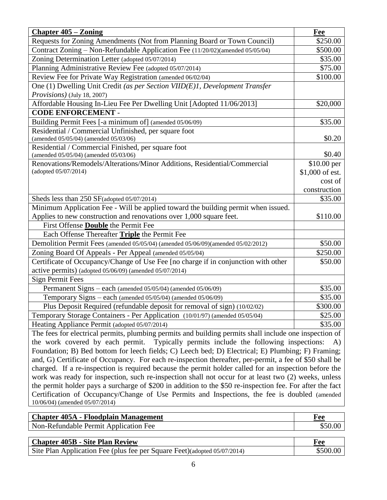| <b>Chapter 405 – Zoning</b>                                                                                                                   | Fee                 |  |
|-----------------------------------------------------------------------------------------------------------------------------------------------|---------------------|--|
| Requests for Zoning Amendments (Not from Planning Board or Town Council)                                                                      | \$250.00            |  |
| Contract Zoning - Non-Refundable Application Fee (11/20/02)(amended 05/05/04)                                                                 | \$500.00            |  |
| Zoning Determination Letter (adopted 05/07/2014)                                                                                              | \$35.00             |  |
| Planning Administrative Review Fee (adopted 05/07/2014)                                                                                       | \$75.00             |  |
| Review Fee for Private Way Registration (amended 06/02/04)                                                                                    | \$100.00            |  |
| One (1) Dwelling Unit Credit (as per Section VIID(E)1, Development Transfer                                                                   |                     |  |
| <i>Provisions</i> ) (July 18, 2007)                                                                                                           |                     |  |
| Affordable Housing In-Lieu Fee Per Dwelling Unit [Adopted 11/06/2013]                                                                         | \$20,000            |  |
| <b>CODE ENFORCEMENT -</b>                                                                                                                     |                     |  |
| Building Permit Fees [-a minimum of] (amended 05/06/09)                                                                                       | \$35.00             |  |
| Residential / Commercial Unfinished, per square foot                                                                                          |                     |  |
| (amended 05/05/04) (amended 05/03/06)                                                                                                         | \$0.20              |  |
| Residential / Commercial Finished, per square foot                                                                                            |                     |  |
| (amended 05/05/04) (amended 05/03/06)                                                                                                         | \$0.40              |  |
| Renovations/Remodels/Alterations/Minor Additions, Residential/Commercial                                                                      | \$10.00 per         |  |
| (adopted 05/07/2014)                                                                                                                          | \$1,000 of est.     |  |
|                                                                                                                                               | cost of             |  |
|                                                                                                                                               | construction        |  |
| Sheds less than 250 SF(adopted 05/07/2014)                                                                                                    | \$35.00             |  |
| Minimum Application Fee - Will be applied toward the building permit when issued.                                                             |                     |  |
| Applies to new construction and renovations over 1,000 square feet.                                                                           | \$110.00            |  |
| First Offense <b>Double</b> the Permit Fee                                                                                                    |                     |  |
| Each Offense Thereafter Triple the Permit Fee<br>Demolition Permit Fees (amended 05/05/04) (amended 05/06/09)(amended 05/02/2012)             |                     |  |
|                                                                                                                                               | \$50.00<br>\$250.00 |  |
| Zoning Board Of Appeals - Per Appeal (amended 05/05/04)<br>Certificate of Occupancy/Change of Use Fee [no charge if in conjunction with other | \$50.00             |  |
| active permits) (adopted 05/06/09) (amended 05/07/2014)                                                                                       |                     |  |
| <b>Sign Permit Fees</b>                                                                                                                       |                     |  |
| Permanent Signs – each (amended 05/05/04) (amended 05/06/09)                                                                                  | \$35.00             |  |
| Temporary Signs - each (amended 05/05/04) (amended 05/06/09)                                                                                  | \$35.00             |  |
| Plus Deposit Required (refundable deposit for removal of sign) (10/02/02)                                                                     | \$300.00            |  |
| Temporary Storage Containers - Per Application (10/01/97) (amended 05/05/04)                                                                  | \$25.00             |  |
| Heating Appliance Permit (adopted 05/07/2014)                                                                                                 | \$35.00             |  |
| The fees for electrical permits, plumbing permits and building permits shall include one inspection of                                        |                     |  |
| the work covered by each permit. Typically permits include the following inspections:<br>A)                                                   |                     |  |
| Foundation; B) Bed bottom for leech fields; C) Leech bed; D) Electrical; E) Plumbing; F) Framing;                                             |                     |  |
| and, G) Certificate of Occupancy. For each re-inspection thereafter, per-permit, a fee of \$50 shall be                                       |                     |  |
| charged. If a re-inspection is required because the permit holder called for an inspection before the                                         |                     |  |
| work was ready for inspection, such re-inspection shall not occur for at least two (2) weeks, unless                                          |                     |  |
| the permit holder pays a surcharge of \$200 in addition to the \$50 re-inspection fee. For after the fact                                     |                     |  |
| Certification of Occupancy/Change of Use Permits and Inspections, the fee is doubled (amended                                                 |                     |  |
| 10/06/04) (amended 05/07/2014)                                                                                                                |                     |  |
| $E1 = 3.1 + 1.2$                                                                                                                              |                     |  |

| Chapter 405A - Floodplain Management  | ree |
|---------------------------------------|-----|
| Non-Refundable Permit Application Fee |     |

| <b>Chapter 405B - Site Plan Review</b>                                   | Fee      |
|--------------------------------------------------------------------------|----------|
| Site Plan Application Fee (plus fee per Square Feet)(adopted 05/07/2014) | \$500.00 |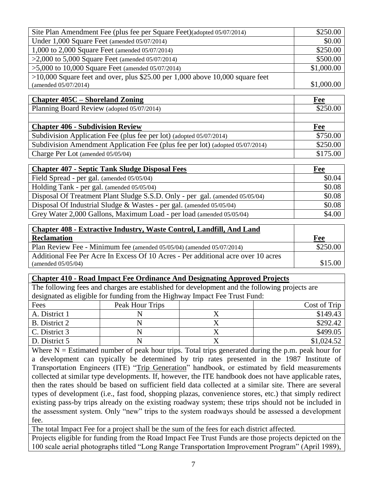| Site Plan Amendment Fee (plus fee per Square Feet)(adopted 05/07/2014)                                  | \$250.00   |
|---------------------------------------------------------------------------------------------------------|------------|
| Under 1,000 Square Feet (amended 05/07/2014)                                                            | \$0.00     |
| 1,000 to 2,000 Square Feet (amended 05/07/2014)                                                         | \$250.00   |
| >2,000 to 5,000 Square Feet (amended $05/07/2014$ )                                                     | \$500.00   |
| $>5,000$ to 10,000 Square Feet (amended 05/07/2014)                                                     | \$1,000.00 |
| $>10,000$ Square feet and over, plus \$25.00 per 1,000 above 10,000 square feet<br>(amended 05/07/2014) | \$1,000.00 |
| <b>Chapter 405C – Shoreland Zoning</b>                                                                  | Fee        |
| Planning Board Review (adopted 05/07/2014)                                                              | \$250.00   |
|                                                                                                         |            |
| <b>Chapter 406 - Subdivision Review</b>                                                                 | Fee        |
| Subdivision Application Fee (plus fee per lot) (adopted 05/07/2014)                                     | \$750.00   |
| Subdivision Amendment Application Fee (plus fee per lot) (adopted 05/07/2014)                           | \$250.00   |
| Charge Per Lot (amended 05/05/04)                                                                       | \$175.00   |
| <b>Chapter 407 - Septic Tank Sludge Disposal Fees</b>                                                   | Fee        |
| Field Spread - per gal. (amended 05/05/04)                                                              | \$0.04     |
| Holding Tank - per gal. (amended 05/05/04)                                                              | \$0.08     |
| Disposal Of Treatment Plant Sludge S.S.D. Only - per gal. (amended 05/05/04)                            | \$0.08     |
| Disposal Of Industrial Sludge & Wastes - per gal. (amended 05/05/04)                                    | \$0.08     |
| Grey Water 2,000 Gallons, Maximum Load - per load (amended 05/05/04)                                    | \$4.00     |
| <b>Chapter 408 - Extractive Industry, Waste Control, Landfill, And Land</b>                             |            |
| <b>Reclamation</b>                                                                                      | Fee        |
| Plan Review Fee - Minimum fee (amended 05/05/04) (amended 05/07/2014)                                   | \$250.00   |
| Additional Fee Per Acre In Excess Of 10 Acres - Per additional acre over 10 acres<br>(amended 05/05/04) | \$15.00    |
| <b>Chapter 410 - Road Impact Fee Ordinance And Designating Approved Projects</b>                        |            |
|                                                                                                         |            |
| The following fees and charges are established for development and the following projects are           |            |

| Fees          | Peak Hour Trips |  | Cost of Trip |
|---------------|-----------------|--|--------------|
| A. District 1 |                 |  | \$149.43     |
| B. District 2 |                 |  | \$292.42     |
| C. District 3 |                 |  | \$499.05     |
| D. District 5 |                 |  | \$1,024.52   |

Where  $N =$  Estimated number of peak hour trips. Total trips generated during the p.m. peak hour for a development can typically be determined by trip rates presented in the 1987 Institute of Transportation Engineers (ITE) "Trip Generation" handbook, or estimated by field measurements collected at similar type developments. If, however, the ITE handbook does not have applicable rates, then the rates should be based on sufficient field data collected at a similar site. There are several types of development (i.e., fast food, shopping plazas, convenience stores, etc.) that simply redirect existing pass-by trips already on the existing roadway system; these trips should not be included in the assessment system. Only "new" trips to the system roadways should be assessed a development fee.

The total Impact Fee for a project shall be the sum of the fees for each district affected.

Projects eligible for funding from the Road Impact Fee Trust Funds are those projects depicted on the 100 scale aerial photographs titled "Long Range Transportation Improvement Program" (April 1989),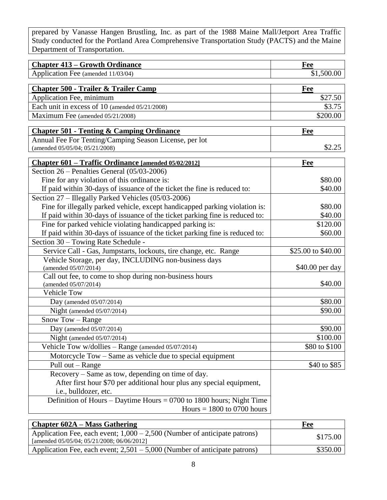prepared by Vanasse Hangen Brustling, Inc. as part of the 1988 Maine Mall/Jetport Area Traffic Study conducted for the Portland Area Comprehensive Transportation Study (PACTS) and the Maine Department of Transportation.

| Application Fee (amended 11/03/04)<br>\$1,500.00<br><b>Chapter 500 - Trailer &amp; Trailer Camp</b><br>Fee<br>\$27.50<br>Application Fee, minimum<br>Each unit in excess of 10 (amended 05/21/2008)<br>\$3.75<br>Maximum Fee (amended 05/21/2008)<br>\$200.00<br><b>Chapter 501 - Tenting &amp; Camping Ordinance</b><br><b>Fee</b><br>Annual Fee For Tenting/Camping Season License, per lot<br>\$2.25<br>(amended 05/05/04; 05/21/2008)<br>Chapter 601 - Traffic Ordinance [amended 05/02/2012]<br><b>Fee</b><br>Section 26 – Penalties General (05/03-2006)<br>Fine for any violation of this ordinance is:<br>\$80.00<br>If paid within 30-days of issuance of the ticket the fine is reduced to:<br>\$40.00<br>Section 27 – Illegally Parked Vehicles (05/03-2006)<br>Fine for illegally parked vehicle, except handicapped parking violation is:<br>\$80.00<br>If paid within 30-days of issuance of the ticket parking fine is reduced to:<br>\$40.00<br>Fine for parked vehicle violating handicapped parking is:<br>\$120.00<br>If paid within 30-days of issuance of the ticket parking fine is reduced to:<br>\$60.00<br>Section 30 - Towing Rate Schedule -<br>Service Call - Gas, Jumpstarts, lockouts, tire change, etc. Range<br>\$25.00 to \$40.00<br>Vehicle Storage, per day, INCLUDING non-business days<br>\$40.00 per day<br>(amended 05/07/2014)<br>Call out fee, to come to shop during non-business hours<br>\$40.00<br>(amended 05/07/2014)<br><b>Vehicle Tow</b><br>\$80.00<br>Day (amended $05/07/2014$ )<br>\$90.00<br>Night (amended 05/07/2014)<br>Snow Tow - Range<br>Day (amended 05/07/2014)<br>\$90.00<br>\$100.00<br>Night (amended 05/07/2014)<br>Vehicle Tow w/dollies - Range (amended 05/07/2014)<br>\$80 to \$100<br>Motorcycle Tow - Same as vehicle due to special equipment<br>Pull out - Range<br>\$40 to \$85 |                                       |            |
|------------------------------------------------------------------------------------------------------------------------------------------------------------------------------------------------------------------------------------------------------------------------------------------------------------------------------------------------------------------------------------------------------------------------------------------------------------------------------------------------------------------------------------------------------------------------------------------------------------------------------------------------------------------------------------------------------------------------------------------------------------------------------------------------------------------------------------------------------------------------------------------------------------------------------------------------------------------------------------------------------------------------------------------------------------------------------------------------------------------------------------------------------------------------------------------------------------------------------------------------------------------------------------------------------------------------------------------------------------------------------------------------------------------------------------------------------------------------------------------------------------------------------------------------------------------------------------------------------------------------------------------------------------------------------------------------------------------------------------------------------------------------------------------------------------------------------------------------------------|---------------------------------------|------------|
|                                                                                                                                                                                                                                                                                                                                                                                                                                                                                                                                                                                                                                                                                                                                                                                                                                                                                                                                                                                                                                                                                                                                                                                                                                                                                                                                                                                                                                                                                                                                                                                                                                                                                                                                                                                                                                                            | <b>Chapter 413 – Growth Ordinance</b> | <b>Fee</b> |
|                                                                                                                                                                                                                                                                                                                                                                                                                                                                                                                                                                                                                                                                                                                                                                                                                                                                                                                                                                                                                                                                                                                                                                                                                                                                                                                                                                                                                                                                                                                                                                                                                                                                                                                                                                                                                                                            |                                       |            |
|                                                                                                                                                                                                                                                                                                                                                                                                                                                                                                                                                                                                                                                                                                                                                                                                                                                                                                                                                                                                                                                                                                                                                                                                                                                                                                                                                                                                                                                                                                                                                                                                                                                                                                                                                                                                                                                            |                                       |            |
|                                                                                                                                                                                                                                                                                                                                                                                                                                                                                                                                                                                                                                                                                                                                                                                                                                                                                                                                                                                                                                                                                                                                                                                                                                                                                                                                                                                                                                                                                                                                                                                                                                                                                                                                                                                                                                                            |                                       |            |
|                                                                                                                                                                                                                                                                                                                                                                                                                                                                                                                                                                                                                                                                                                                                                                                                                                                                                                                                                                                                                                                                                                                                                                                                                                                                                                                                                                                                                                                                                                                                                                                                                                                                                                                                                                                                                                                            |                                       |            |
|                                                                                                                                                                                                                                                                                                                                                                                                                                                                                                                                                                                                                                                                                                                                                                                                                                                                                                                                                                                                                                                                                                                                                                                                                                                                                                                                                                                                                                                                                                                                                                                                                                                                                                                                                                                                                                                            |                                       |            |
|                                                                                                                                                                                                                                                                                                                                                                                                                                                                                                                                                                                                                                                                                                                                                                                                                                                                                                                                                                                                                                                                                                                                                                                                                                                                                                                                                                                                                                                                                                                                                                                                                                                                                                                                                                                                                                                            |                                       |            |
|                                                                                                                                                                                                                                                                                                                                                                                                                                                                                                                                                                                                                                                                                                                                                                                                                                                                                                                                                                                                                                                                                                                                                                                                                                                                                                                                                                                                                                                                                                                                                                                                                                                                                                                                                                                                                                                            |                                       |            |
|                                                                                                                                                                                                                                                                                                                                                                                                                                                                                                                                                                                                                                                                                                                                                                                                                                                                                                                                                                                                                                                                                                                                                                                                                                                                                                                                                                                                                                                                                                                                                                                                                                                                                                                                                                                                                                                            |                                       |            |
|                                                                                                                                                                                                                                                                                                                                                                                                                                                                                                                                                                                                                                                                                                                                                                                                                                                                                                                                                                                                                                                                                                                                                                                                                                                                                                                                                                                                                                                                                                                                                                                                                                                                                                                                                                                                                                                            |                                       |            |
|                                                                                                                                                                                                                                                                                                                                                                                                                                                                                                                                                                                                                                                                                                                                                                                                                                                                                                                                                                                                                                                                                                                                                                                                                                                                                                                                                                                                                                                                                                                                                                                                                                                                                                                                                                                                                                                            |                                       |            |
|                                                                                                                                                                                                                                                                                                                                                                                                                                                                                                                                                                                                                                                                                                                                                                                                                                                                                                                                                                                                                                                                                                                                                                                                                                                                                                                                                                                                                                                                                                                                                                                                                                                                                                                                                                                                                                                            |                                       |            |
|                                                                                                                                                                                                                                                                                                                                                                                                                                                                                                                                                                                                                                                                                                                                                                                                                                                                                                                                                                                                                                                                                                                                                                                                                                                                                                                                                                                                                                                                                                                                                                                                                                                                                                                                                                                                                                                            |                                       |            |
|                                                                                                                                                                                                                                                                                                                                                                                                                                                                                                                                                                                                                                                                                                                                                                                                                                                                                                                                                                                                                                                                                                                                                                                                                                                                                                                                                                                                                                                                                                                                                                                                                                                                                                                                                                                                                                                            |                                       |            |
|                                                                                                                                                                                                                                                                                                                                                                                                                                                                                                                                                                                                                                                                                                                                                                                                                                                                                                                                                                                                                                                                                                                                                                                                                                                                                                                                                                                                                                                                                                                                                                                                                                                                                                                                                                                                                                                            |                                       |            |
|                                                                                                                                                                                                                                                                                                                                                                                                                                                                                                                                                                                                                                                                                                                                                                                                                                                                                                                                                                                                                                                                                                                                                                                                                                                                                                                                                                                                                                                                                                                                                                                                                                                                                                                                                                                                                                                            |                                       |            |
|                                                                                                                                                                                                                                                                                                                                                                                                                                                                                                                                                                                                                                                                                                                                                                                                                                                                                                                                                                                                                                                                                                                                                                                                                                                                                                                                                                                                                                                                                                                                                                                                                                                                                                                                                                                                                                                            |                                       |            |
|                                                                                                                                                                                                                                                                                                                                                                                                                                                                                                                                                                                                                                                                                                                                                                                                                                                                                                                                                                                                                                                                                                                                                                                                                                                                                                                                                                                                                                                                                                                                                                                                                                                                                                                                                                                                                                                            |                                       |            |
|                                                                                                                                                                                                                                                                                                                                                                                                                                                                                                                                                                                                                                                                                                                                                                                                                                                                                                                                                                                                                                                                                                                                                                                                                                                                                                                                                                                                                                                                                                                                                                                                                                                                                                                                                                                                                                                            |                                       |            |
|                                                                                                                                                                                                                                                                                                                                                                                                                                                                                                                                                                                                                                                                                                                                                                                                                                                                                                                                                                                                                                                                                                                                                                                                                                                                                                                                                                                                                                                                                                                                                                                                                                                                                                                                                                                                                                                            |                                       |            |
|                                                                                                                                                                                                                                                                                                                                                                                                                                                                                                                                                                                                                                                                                                                                                                                                                                                                                                                                                                                                                                                                                                                                                                                                                                                                                                                                                                                                                                                                                                                                                                                                                                                                                                                                                                                                                                                            |                                       |            |
|                                                                                                                                                                                                                                                                                                                                                                                                                                                                                                                                                                                                                                                                                                                                                                                                                                                                                                                                                                                                                                                                                                                                                                                                                                                                                                                                                                                                                                                                                                                                                                                                                                                                                                                                                                                                                                                            |                                       |            |
|                                                                                                                                                                                                                                                                                                                                                                                                                                                                                                                                                                                                                                                                                                                                                                                                                                                                                                                                                                                                                                                                                                                                                                                                                                                                                                                                                                                                                                                                                                                                                                                                                                                                                                                                                                                                                                                            |                                       |            |
|                                                                                                                                                                                                                                                                                                                                                                                                                                                                                                                                                                                                                                                                                                                                                                                                                                                                                                                                                                                                                                                                                                                                                                                                                                                                                                                                                                                                                                                                                                                                                                                                                                                                                                                                                                                                                                                            |                                       |            |
|                                                                                                                                                                                                                                                                                                                                                                                                                                                                                                                                                                                                                                                                                                                                                                                                                                                                                                                                                                                                                                                                                                                                                                                                                                                                                                                                                                                                                                                                                                                                                                                                                                                                                                                                                                                                                                                            |                                       |            |
|                                                                                                                                                                                                                                                                                                                                                                                                                                                                                                                                                                                                                                                                                                                                                                                                                                                                                                                                                                                                                                                                                                                                                                                                                                                                                                                                                                                                                                                                                                                                                                                                                                                                                                                                                                                                                                                            |                                       |            |
|                                                                                                                                                                                                                                                                                                                                                                                                                                                                                                                                                                                                                                                                                                                                                                                                                                                                                                                                                                                                                                                                                                                                                                                                                                                                                                                                                                                                                                                                                                                                                                                                                                                                                                                                                                                                                                                            |                                       |            |
|                                                                                                                                                                                                                                                                                                                                                                                                                                                                                                                                                                                                                                                                                                                                                                                                                                                                                                                                                                                                                                                                                                                                                                                                                                                                                                                                                                                                                                                                                                                                                                                                                                                                                                                                                                                                                                                            |                                       |            |
|                                                                                                                                                                                                                                                                                                                                                                                                                                                                                                                                                                                                                                                                                                                                                                                                                                                                                                                                                                                                                                                                                                                                                                                                                                                                                                                                                                                                                                                                                                                                                                                                                                                                                                                                                                                                                                                            |                                       |            |
|                                                                                                                                                                                                                                                                                                                                                                                                                                                                                                                                                                                                                                                                                                                                                                                                                                                                                                                                                                                                                                                                                                                                                                                                                                                                                                                                                                                                                                                                                                                                                                                                                                                                                                                                                                                                                                                            |                                       |            |
|                                                                                                                                                                                                                                                                                                                                                                                                                                                                                                                                                                                                                                                                                                                                                                                                                                                                                                                                                                                                                                                                                                                                                                                                                                                                                                                                                                                                                                                                                                                                                                                                                                                                                                                                                                                                                                                            |                                       |            |
|                                                                                                                                                                                                                                                                                                                                                                                                                                                                                                                                                                                                                                                                                                                                                                                                                                                                                                                                                                                                                                                                                                                                                                                                                                                                                                                                                                                                                                                                                                                                                                                                                                                                                                                                                                                                                                                            |                                       |            |
|                                                                                                                                                                                                                                                                                                                                                                                                                                                                                                                                                                                                                                                                                                                                                                                                                                                                                                                                                                                                                                                                                                                                                                                                                                                                                                                                                                                                                                                                                                                                                                                                                                                                                                                                                                                                                                                            |                                       |            |
|                                                                                                                                                                                                                                                                                                                                                                                                                                                                                                                                                                                                                                                                                                                                                                                                                                                                                                                                                                                                                                                                                                                                                                                                                                                                                                                                                                                                                                                                                                                                                                                                                                                                                                                                                                                                                                                            |                                       |            |
|                                                                                                                                                                                                                                                                                                                                                                                                                                                                                                                                                                                                                                                                                                                                                                                                                                                                                                                                                                                                                                                                                                                                                                                                                                                                                                                                                                                                                                                                                                                                                                                                                                                                                                                                                                                                                                                            |                                       |            |
| Recovery – Same as tow, depending on time of day.                                                                                                                                                                                                                                                                                                                                                                                                                                                                                                                                                                                                                                                                                                                                                                                                                                                                                                                                                                                                                                                                                                                                                                                                                                                                                                                                                                                                                                                                                                                                                                                                                                                                                                                                                                                                          |                                       |            |
| After first hour \$70 per additional hour plus any special equipment,                                                                                                                                                                                                                                                                                                                                                                                                                                                                                                                                                                                                                                                                                                                                                                                                                                                                                                                                                                                                                                                                                                                                                                                                                                                                                                                                                                                                                                                                                                                                                                                                                                                                                                                                                                                      |                                       |            |
| i.e., bulldozer, etc.                                                                                                                                                                                                                                                                                                                                                                                                                                                                                                                                                                                                                                                                                                                                                                                                                                                                                                                                                                                                                                                                                                                                                                                                                                                                                                                                                                                                                                                                                                                                                                                                                                                                                                                                                                                                                                      |                                       |            |
| Definition of Hours – Daytime Hours = $0700$ to 1800 hours; Night Time                                                                                                                                                                                                                                                                                                                                                                                                                                                                                                                                                                                                                                                                                                                                                                                                                                                                                                                                                                                                                                                                                                                                                                                                                                                                                                                                                                                                                                                                                                                                                                                                                                                                                                                                                                                     |                                       |            |
| Hours $= 1800$ to 0700 hours                                                                                                                                                                                                                                                                                                                                                                                                                                                                                                                                                                                                                                                                                                                                                                                                                                                                                                                                                                                                                                                                                                                                                                                                                                                                                                                                                                                                                                                                                                                                                                                                                                                                                                                                                                                                                               |                                       |            |

| <b>Chapter 602A – Mass Gathering</b>                                                                                               | Fee      |
|------------------------------------------------------------------------------------------------------------------------------------|----------|
| Application Fee, each event; $1,000 - 2,500$ (Number of anticipate patrons)<br>[amended $05/05/04$ ; $05/21/2008$ ; $06/06/2012$ ] | \$175.00 |
| Application Fee, each event; $2,501 - 5,000$ (Number of anticipate patrons)                                                        | \$350.00 |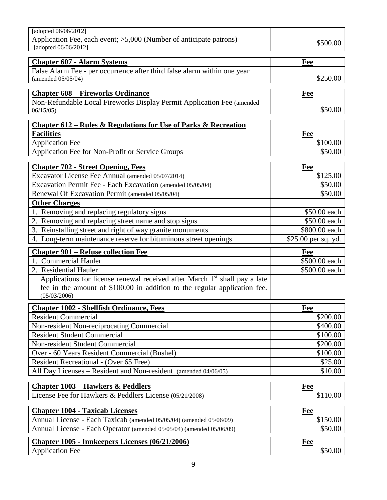| [adopted 06/06/2012]                                                                                                                                                                |                     |
|-------------------------------------------------------------------------------------------------------------------------------------------------------------------------------------|---------------------|
| Application Fee, each event; >5,000 (Number of anticipate patrons)<br>[adopted 06/06/2012]                                                                                          | \$500.00            |
| <b>Chapter 607 - Alarm Systems</b>                                                                                                                                                  | Fee                 |
| False Alarm Fee - per occurrence after third false alarm within one year<br>(amended 05/05/04)                                                                                      | \$250.00            |
| <b>Chapter 608 - Fireworks Ordinance</b>                                                                                                                                            | Fee                 |
| Non-Refundable Local Fireworks Display Permit Application Fee (amended<br>06/15/05                                                                                                  | \$50.00             |
| <u>Chapter 612 – Rules &amp; Regulations for Use of Parks &amp; Recreation</u>                                                                                                      |                     |
| <b>Facilities</b>                                                                                                                                                                   | Fee                 |
| <b>Application Fee</b>                                                                                                                                                              | \$100.00            |
| Application Fee for Non-Profit or Service Groups                                                                                                                                    | \$50.00             |
| <b>Chapter 702 - Street Opening, Fees</b>                                                                                                                                           | Fee                 |
| Excavator License Fee Annual (amended 05/07/2014)                                                                                                                                   | \$125.00            |
| Excavation Permit Fee - Each Excavation (amended 05/05/04)                                                                                                                          | \$50.00             |
| Renewal Of Excavation Permit (amended 05/05/04)                                                                                                                                     | \$50.00             |
| <b>Other Charges</b>                                                                                                                                                                |                     |
| 1. Removing and replacing regulatory signs                                                                                                                                          | \$50.00 each        |
| 2. Removing and replacing street name and stop signs                                                                                                                                | \$50.00 each        |
| 3. Reinstalling street and right of way granite monuments                                                                                                                           | \$800.00 each       |
| 4. Long-term maintenance reserve for bituminous street openings                                                                                                                     | \$25.00 per sq. yd. |
|                                                                                                                                                                                     |                     |
| <b>Chapter 901 - Refuse collection Fee</b>                                                                                                                                          | Fee                 |
| 1. Commercial Hauler                                                                                                                                                                | \$500.00 each       |
| 2. Residential Hauler                                                                                                                                                               | \$500.00 each       |
| Applications for license renewal received after March 1 <sup>st</sup> shall pay a late<br>fee in the amount of \$100.00 in addition to the regular application fee.<br>(05/03/2006) |                     |
|                                                                                                                                                                                     | Fee                 |
| <b>Chapter 1002 - Shellfish Ordinance, Fees</b><br><b>Resident Commercial</b>                                                                                                       | \$200.00            |
| Non-resident Non-reciprocating Commercial                                                                                                                                           | \$400.00            |
| <b>Resident Student Commercial</b>                                                                                                                                                  | \$100.00            |
| Non-resident Student Commercial                                                                                                                                                     | \$200.00            |
| Over - 60 Years Resident Commercial (Bushel)                                                                                                                                        | \$100.00            |
| Resident Recreational - (Over 65 Free)                                                                                                                                              | \$25.00             |
| All Day Licenses – Resident and Non-resident (amended 04/06/05)                                                                                                                     | \$10.00             |
|                                                                                                                                                                                     |                     |
| <b>Chapter 1003 – Hawkers &amp; Peddlers</b>                                                                                                                                        | Fee                 |
| License Fee for Hawkers & Peddlers License (05/21/2008)                                                                                                                             | \$110.00            |
| <b>Chapter 1004 - Taxicab Licenses</b>                                                                                                                                              | Fee                 |
| Annual License - Each Taxicab (amended 05/05/04) (amended 05/06/09)                                                                                                                 | \$150.00            |
| Annual License - Each Operator (amended 05/05/04) (amended 05/06/09)                                                                                                                | \$50.00             |
| Chapter 1005 - Innkeepers Licenses (06/21/2006)                                                                                                                                     | Fee<br>\$50.00      |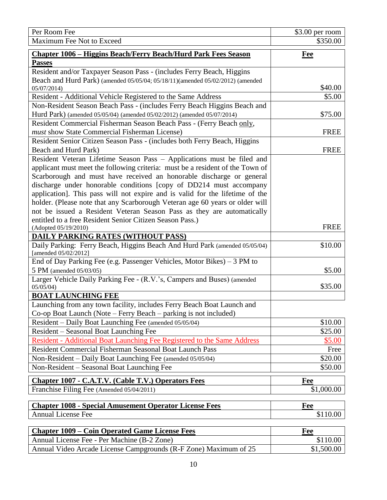| Per Room Fee                                                                                       | $$3.00$ per room |
|----------------------------------------------------------------------------------------------------|------------------|
| Maximum Fee Not to Exceed                                                                          | \$350.00         |
| <b>Chapter 1006 - Higgins Beach/Ferry Beach/Hurd Park Fees Season</b>                              | <u>Fee</u>       |
| <b>Passes</b>                                                                                      |                  |
| Resident and/or Taxpayer Season Pass - (includes Ferry Beach, Higgins                              |                  |
| Beach and Hurd Park) (amended 05/05/04; 05/18/11)(amended 05/02/2012) (amended                     |                  |
| 05/07/2014)                                                                                        | \$40.00          |
| Resident - Additional Vehicle Registered to the Same Address                                       | \$5.00           |
| Non-Resident Season Beach Pass - (includes Ferry Beach Higgins Beach and                           |                  |
| Hurd Park) (amended 05/05/04) (amended 05/02/2012) (amended 05/07/2014)                            | \$75.00          |
| Resident Commercial Fisherman Season Beach Pass - (Ferry Beach only,                               |                  |
| must show State Commercial Fisherman License)                                                      | <b>FREE</b>      |
| Resident Senior Citizen Season Pass - (includes both Ferry Beach, Higgins                          |                  |
| Beach and Hurd Park)                                                                               | <b>FREE</b>      |
| Resident Veteran Lifetime Season Pass - Applications must be filed and                             |                  |
| applicant must meet the following criteria: must be a resident of the Town of                      |                  |
| Scarborough and must have received an honorable discharge or general                               |                  |
| discharge under honorable conditions [copy of DD214 must accompany                                 |                  |
| application]. This pass will not expire and is valid for the lifetime of the                       |                  |
| holder. (Please note that any Scarborough Veteran age 60 years or older will                       |                  |
| not be issued a Resident Veteran Season Pass as they are automatically                             |                  |
| entitled to a free Resident Senior Citizen Season Pass.)                                           |                  |
| (Adopted 05/19/2010)                                                                               | <b>FREE</b>      |
| <b>DAILY PARKING RATES (WITHOUT PASS)</b>                                                          |                  |
| Daily Parking: Ferry Beach, Higgins Beach And Hurd Park (amended 05/05/04)<br>[amended 05/02/2012] | \$10.00          |
| End of Day Parking Fee (e.g. Passenger Vehicles, Motor Bikes) – 3 PM to                            |                  |
| 5 PM (amended 05/03/05)                                                                            | \$5.00           |
| Larger Vehicle Daily Parking Fee - (R.V.'s, Campers and Buses) (amended                            |                  |
| 05/05/04                                                                                           | \$35.00          |
| <b>BOAT LAUNCHING FEE</b>                                                                          |                  |
| Launching from any town facility, includes Ferry Beach Boat Launch and                             |                  |
| Co-op Boat Launch (Note – Ferry Beach – parking is not included)                                   |                  |
| Resident – Daily Boat Launching Fee (amended 05/05/04)                                             | \$10.00          |
| Resident – Seasonal Boat Launching Fee                                                             | \$25.00          |
| Resident - Additional Boat Launching Fee Registered to the Same Address                            | \$5.00           |
| Resident Commercial Fisherman Seasonal Boat Launch Pass                                            | Free             |
| Non-Resident – Daily Boat Launching Fee (amended 05/05/04)                                         | \$20.00          |
| Non-Resident - Seasonal Boat Launching Fee                                                         | \$50.00          |
| <b>Chapter 1007 - C.A.T.V. (Cable T.V.) Operators Fees</b>                                         | Fee              |
| Franchise Filing Fee (Amended 05/04/2011)                                                          | \$1,000.00       |
| <b>Chapter 1008 - Special Amusement Operator License Fees</b>                                      | Fee              |
| <b>Annual License Fee</b>                                                                          | \$110.00         |
|                                                                                                    |                  |
| <b>Chapter 1009 – Coin Operated Game License Fees</b>                                              | Fee              |
| Annual License Fee - Per Machine (B-2 Zone)                                                        | \$110.00         |

Annual Video Arcade License Campgrounds (R-F Zone) Maximum of 25 \$1,500.00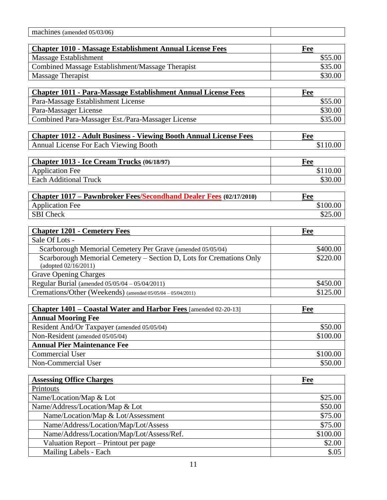| machines (amended 05/03/06)                                                                                   |                     |
|---------------------------------------------------------------------------------------------------------------|---------------------|
|                                                                                                               |                     |
| <b>Chapter 1010 - Massage Establishment Annual License Fees</b>                                               | Fee                 |
| Massage Establishment                                                                                         | \$55.00             |
| Combined Massage Establishment/Massage Therapist                                                              | \$35.00             |
| Massage Therapist                                                                                             | \$30.00             |
| <b>Chapter 1011 - Para-Massage Establishment Annual License Fees</b>                                          | Fee                 |
| Para-Massage Establishment License                                                                            | \$55.00             |
| Para-Massager License                                                                                         | \$30.00             |
| Combined Para-Massager Est./Para-Massager License                                                             | \$35.00             |
|                                                                                                               |                     |
| <b>Chapter 1012 - Adult Business - Viewing Booth Annual License Fees</b>                                      | Fee                 |
| Annual License For Each Viewing Booth                                                                         | \$110.00            |
|                                                                                                               |                     |
| Chapter 1013 - Ice Cream Trucks (06/18/97)                                                                    | Fee                 |
| <b>Application Fee</b><br><b>Each Additional Truck</b>                                                        | \$110.00            |
|                                                                                                               | \$30.00             |
| <b>Chapter 1017 – Pawnbroker Fees/Secondhand Dealer Fees (02/17/2010)</b>                                     | Fee                 |
| <b>Application Fee</b>                                                                                        | \$100.00            |
| <b>SBI</b> Check                                                                                              | \$25.00             |
|                                                                                                               |                     |
| <b>Chapter 1201 - Cemetery Fees</b>                                                                           | Fee                 |
| Sale Of Lots -                                                                                                |                     |
| Scarborough Memorial Cemetery Per Grave (amended 05/05/04)                                                    | \$400.00            |
| Scarborough Memorial Cemetery - Section D, Lots for Cremations Only                                           | \$220.00            |
| (adopted 02/16/2011)                                                                                          |                     |
| <b>Grave Opening Charges</b>                                                                                  | \$450.00            |
| Regular Burial (amended 05/05/04 - 05/04/2011)<br>Cremations/Other (Weekends) (amended 05/05/04 - 05/04/2011) | \$125.00            |
|                                                                                                               |                     |
| Chapter 1401 - Coastal Water and Harbor Fees [amended 02-20-13]                                               | Fee                 |
| <b>Annual Mooring Fee</b>                                                                                     |                     |
| Resident And/Or Taxpayer (amended 05/05/04)                                                                   | \$50.00             |
| Non-Resident (amended 05/05/04)                                                                               | \$100.00            |
| <b>Annual Pier Maintenance Fee</b>                                                                            |                     |
| <b>Commercial User</b>                                                                                        | \$100.00            |
| Non-Commercial User                                                                                           | \$50.00             |
|                                                                                                               |                     |
| <b>Assessing Office Charges</b>                                                                               | Fee                 |
| Printouts                                                                                                     |                     |
| Name/Location/Map & Lot                                                                                       | \$25.00             |
| Name/Address/Location/Map & Lot                                                                               | \$50.00             |
| Name/Location/Map & Lot/Assessment                                                                            | \$75.00             |
| Name/Address/Location/Map/Lot/Assess<br>Name/Address/Location/Map/Lot/Assess/Ref.                             | \$75.00<br>\$100.00 |
| Valuation Report - Printout per page                                                                          | \$2.00              |
| Mailing Labels - Each                                                                                         | \$.05               |
|                                                                                                               |                     |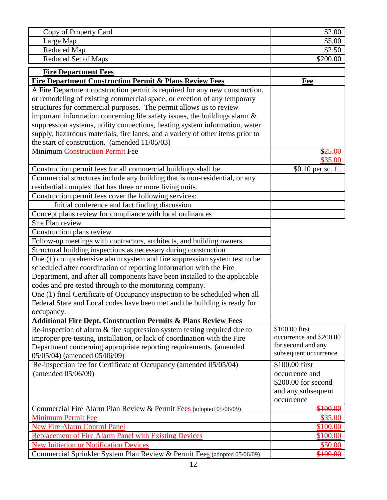| Copy of Property Card |          |
|-----------------------|----------|
| Large Map             | \$5.00   |
| Reduced Map           |          |
| Reduced Set of Maps   | \$200.00 |

| <b>Fire Department Fees</b>                                                    |                         |
|--------------------------------------------------------------------------------|-------------------------|
| <b>Fire Department Construction Permit &amp; Plans Review Fees</b>             | Fee                     |
| A Fire Department construction permit is required for any new construction,    |                         |
| or remodeling of existing commercial space, or erection of any temporary       |                         |
| structures for commercial purposes. The permit allows us to review             |                         |
| important information concerning life safety issues, the buildings alarm $\&$  |                         |
| suppression systems, utility connections, heating system information, water    |                         |
| supply, hazardous materials, fire lanes, and a variety of other items prior to |                         |
| the start of construction. (amended $11/05/03$ )                               |                         |
| Minimum Construction Permit Fee                                                | \$25.00                 |
|                                                                                | \$35.00                 |
| Construction permit fees for all commercial buildings shall be                 | \$0.10 per sq. ft.      |
| Commercial structures include any building that is non-residential, or any     |                         |
| residential complex that has three or more living units.                       |                         |
| Construction permit fees cover the following services:                         |                         |
| Initial conference and fact finding discussion                                 |                         |
| Concept plans review for compliance with local ordinances                      |                         |
| Site Plan review                                                               |                         |
| Construction plans review                                                      |                         |
| Follow-up meetings with contractors, architects, and building owners           |                         |
| Structural building inspections as necessary during construction               |                         |
| One (1) comprehensive alarm system and fire suppression system test to be      |                         |
| scheduled after coordination of reporting information with the Fire            |                         |
| Department, and after all components have been installed to the applicable     |                         |
| codes and pre-tested through to the monitoring company.                        |                         |
| One (1) final Certificate of Occupancy inspection to be scheduled when all     |                         |
| Federal State and Local codes have been met and the building is ready for      |                         |
| occupancy.                                                                     |                         |
| <b>Additional Fire Dept. Construction Permits &amp; Plans Review Fees</b>      |                         |
| Re-inspection of alarm & fire suppression system testing required due to       | \$100.00 first          |
| improper pre-testing, installation, or lack of coordination with the Fire      | occurrence and \$200.00 |
| Department concerning appropriate reporting requirements. (amended             | for second and any      |
| 05/05/04) (amended 05/06/09)                                                   | subsequent occurrence   |
| Re-inspection fee for Certificate of Occupancy (amended 05/05/04)              | \$100.00 first          |
| (amended 05/06/09)                                                             | occurrence and          |
|                                                                                | \$200.00 for second     |
|                                                                                | and any subsequent      |
|                                                                                | occurrence              |
| Commercial Fire Alarm Plan Review & Permit Fees (adopted 05/06/09)             | \$100.00                |
| <b>Minimum Permit Fee</b>                                                      | \$35.00                 |
| <b>New Fire Alarm Control Panel</b>                                            | \$100.00                |
| <b>Replacement of Fire Alarm Panel with Existing Devices</b>                   | \$100.00                |
| <b>New Initiation or Notification Devices</b>                                  | \$50.00                 |
| Commercial Sprinkler System Plan Review & Permit Fees (adopted 05/06/09)       | \$100.00                |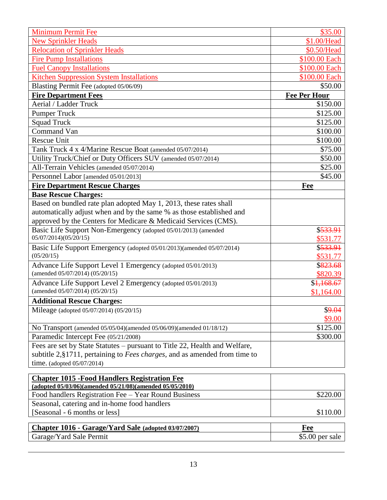| <b>Minimum Permit Fee</b>                                                                                        | \$35.00             |
|------------------------------------------------------------------------------------------------------------------|---------------------|
| <b>New Sprinkler Heads</b>                                                                                       | \$1.00/Head         |
| <b>Relocation of Sprinkler Heads</b>                                                                             | \$0.50/Head         |
| <b>Fire Pump Installations</b>                                                                                   | \$100.00 Each       |
| <b>Fuel Canopy Installations</b>                                                                                 | \$100.00 Each       |
| <b>Kitchen Suppression System Installations</b>                                                                  | \$100.00 Each       |
| Blasting Permit Fee (adopted 05/06/09)                                                                           | \$50.00             |
| <b>Fire Department Fees</b>                                                                                      | <b>Fee Per Hour</b> |
| Aerial / Ladder Truck                                                                                            | \$150.00            |
| <b>Pumper Truck</b>                                                                                              | \$125.00            |
| <b>Squad Truck</b>                                                                                               | \$125.00            |
| Command Van                                                                                                      | \$100.00            |
| <b>Rescue Unit</b>                                                                                               | \$100.00            |
| Tank Truck 4 x 4/Marine Rescue Boat (amended 05/07/2014)                                                         | \$75.00             |
| Utility Truck/Chief or Duty Officers SUV (amended 05/07/2014)                                                    | \$50.00             |
| All-Terrain Vehicles (amended 05/07/2014)                                                                        | \$25.00             |
| Personnel Labor [amended 05/01/2013]                                                                             | \$45.00             |
| <b>Fire Department Rescue Charges</b>                                                                            | Fee                 |
| <b>Base Rescue Charges:</b>                                                                                      |                     |
| Based on bundled rate plan adopted May 1, 2013, these rates shall                                                |                     |
| automatically adjust when and by the same % as those established and                                             |                     |
| approved by the Centers for Medicare & Medicaid Services (CMS).                                                  |                     |
| Basic Life Support Non-Emergency (adopted 05/01/2013) (amended                                                   | \$533.91            |
| 05/07/2014)(05/20/15)                                                                                            | \$531.77            |
| Basic Life Support Emergency (adopted 05/01/2013)(amended 05/07/2014)                                            | \$533.91            |
| (05/20/15)                                                                                                       | \$531.77            |
| Advance Life Support Level 1 Emergency (adopted 05/01/2013)                                                      | \$823.68            |
| (amended 05/07/2014) (05/20/15)                                                                                  | \$820.39            |
| Advance Life Support Level 2 Emergency (adopted 05/01/2013)<br>(amended 05/07/2014) (05/20/15)                   | \$1,168.67          |
|                                                                                                                  | \$1,164.00          |
| <b>Additional Rescue Charges:</b>                                                                                |                     |
| Mileage (adopted 05/07/2014) (05/20/15)                                                                          | \$9.04<br>\$9.00    |
|                                                                                                                  | \$125.00            |
| No Transport (amended 05/05/04)(amended 05/06/09)(amended 01/18/12)<br>Paramedic Intercept Fee (05/21/2008)      | \$300.00            |
| Fees are set by State Statutes – pursuant to Title 22, Health and Welfare,                                       |                     |
| subtitle $2, §1711$ , pertaining to <i>Fees charges</i> , and as amended from time to                            |                     |
| time. (adopted $05/07/2014$ )                                                                                    |                     |
|                                                                                                                  |                     |
| <b>Chapter 1015 - Food Handlers Registration Fee</b><br>(adopted 05/03/06)(amended 05/21/08)(amended 05/05/2010) |                     |
| Food handlers Registration Fee - Year Round Business                                                             | \$220.00            |
| Seasonal, catering and in-home food handlers                                                                     |                     |
| [Seasonal - 6 months or less]                                                                                    | \$110.00            |
|                                                                                                                  |                     |
| Chapter 1016 - Garage/Yard Sale (adopted 03/07/2007)                                                             | Fee                 |
| Garage/Yard Sale Permit                                                                                          | $$5.00$ per sale    |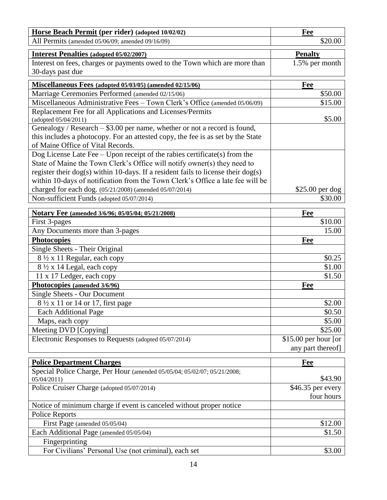| Horse Beach Permit (per rider) (adopted 10/02/02)                                       | Fee                   |
|-----------------------------------------------------------------------------------------|-----------------------|
| All Permits (amended 05/06/09; amended 09/16/09)                                        | \$20.00               |
| <b>Interest Penalties (adopted 05/02/2007)</b>                                          | <b>Penalty</b>        |
| Interest on fees, charges or payments owed to the Town which are more than              | 1.5% per month        |
| 30-days past due                                                                        |                       |
| Miscellaneous Fees (adopted 05/03/05) (amended 02/15/06)                                | Fee                   |
| Marriage Ceremonies Performed (amended 02/15/06)                                        | \$50.00               |
| Miscellaneous Administrative Fees - Town Clerk's Office (amended 05/06/09)              | \$15.00               |
| Replacement Fee for all Applications and Licenses/Permits                               |                       |
| (adopted 05/04/2011)                                                                    | \$5.00                |
| Genealogy / Research $-$ \$3.00 per name, whether or not a record is found,             |                       |
| this includes a photocopy. For an attested copy, the fee is as set by the State         |                       |
| of Maine Office of Vital Records.                                                       |                       |
| Dog License Late Fee - Upon receipt of the rabies certificate(s) from the               |                       |
| State of Maine the Town Clerk's Office will notify owner(s) they need to                |                       |
| register their $\log(s)$ within 10-days. If a resident fails to license their $\log(s)$ |                       |
| within 10-days of notification from the Town Clerk's Office a late fee will be          |                       |
| charged for each dog. (05/21/2008) (amended 05/07/2014)                                 | $$25.00$ per dog      |
| Non-sufficient Funds (adopted 05/07/2014)                                               | \$30.00               |
| Notary Fee (amended 3/6/96; 05/05/04; 05/21/2008)                                       | <u>Fee</u>            |
| First 3-pages                                                                           | \$10.00               |
| Any Documents more than 3-pages                                                         | 15.00                 |
| <b>Photocopies</b>                                                                      | Fee                   |
| Single Sheets - Their Original                                                          |                       |
| 8 1/2 x 11 Regular, each copy                                                           | \$0.25                |
| 8 1/2 x 14 Legal, each copy                                                             | \$1.00                |
| 11 x 17 Ledger, each copy                                                               | \$1.50                |
| Photocopies (amended 3/6/96)                                                            | <b>Fee</b>            |
| Single Sheets - Our Document                                                            |                       |
| 8 1/2 x 11 or 14 or 17, first page                                                      | \$2.00                |
| <b>Each Additional Page</b>                                                             | \$0.50                |
| Maps, each copy                                                                         | \$5.00                |
| Meeting DVD [Copying]                                                                   | \$25.00               |
| Electronic Responses to Requests (adopted 05/07/2014)                                   | $$15.00$ per hour [or |
|                                                                                         | any part thereof]     |
| <b>Police Department Charges</b>                                                        | <b>Fee</b>            |
| Special Police Charge, Per Hour (amended 05/05/04; 05/02/07; 05/21/2008;                |                       |
| 05/04/2011                                                                              | \$43.90               |
| Police Cruiser Charge (adopted 05/07/2014)                                              | \$46.35 per every     |
|                                                                                         | four hours            |
| Notice of minimum charge if event is canceled without proper notice                     |                       |
| Police Reports                                                                          |                       |
| First Page (amended 05/05/04)                                                           | \$12.00               |
| Each Additional Page (amended 05/05/04)                                                 | \$1.50                |
| Fingerprinting                                                                          |                       |
| For Civilians' Personal Use (not criminal), each set                                    | \$3.00                |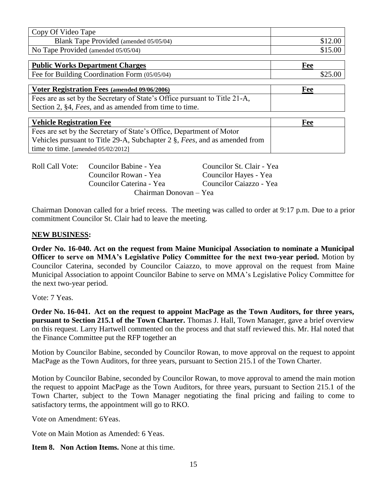| Copy Of Video Tape                                                         |         |
|----------------------------------------------------------------------------|---------|
| Blank Tape Provided (amended 05/05/04)                                     | \$12.00 |
| No Tape Provided (amended 05/05/04)                                        | \$15.00 |
|                                                                            |         |
| <b>Public Works Department Charges</b>                                     | Fee     |
| Fee for Building Coordination Form (05/05/04)                              | \$25.00 |
|                                                                            |         |
| Voter Registration Fees (amended 09/06/2006)                               | Fee     |
| Fees are as set by the Secretary of State's Office pursuant to Title 21-A, |         |
| Section 2, §4, <i>Fees</i> , and as amended from time to time.             |         |
|                                                                            |         |
| <b>Vehicle Registration Fee</b>                                            | Fee     |

| Venicie Registration Fee                                                               | r ee |
|----------------------------------------------------------------------------------------|------|
| Fees are set by the Secretary of State's Office, Department of Motor                   |      |
| Vehicles pursuant to Title 29-A, Subchapter 2 $\S$ , <i>Fees</i> , and as amended from |      |
| time to time. [amended $05/02/2012$ ]                                                  |      |

| Roll Call Vote: | Councilor Babine - Yea   | Councilor St. Clair - Yea |
|-----------------|--------------------------|---------------------------|
|                 | Councilor Rowan - Yea    | Councilor Hayes - Yea     |
|                 | Councilor Caterina - Yea | Councilor Caiazzo - Yea   |
|                 | Chairman Donovan – Yea   |                           |

Chairman Donovan called for a brief recess. The meeting was called to order at 9:17 p.m. Due to a prior commitment Councilor St. Clair had to leave the meeting.

### **NEW BUSINESS:**

**Order No. 16-040. Act on the request from Maine Municipal Association to nominate a Municipal Officer to serve on MMA's Legislative Policy Committee for the next two-year period.** Motion by Councilor Caterina, seconded by Councilor Caiazzo, to move approval on the request from Maine Municipal Association to appoint Councilor Babine to serve on MMA's Legislative Policy Committee for the next two-year period.

Vote: 7 Yeas.

**Order No. 16-041. Act on the request to appoint MacPage as the Town Auditors, for three years, pursuant to Section 215.1 of the Town Charter.** Thomas J. Hall, Town Manager, gave a brief overview on this request. Larry Hartwell commented on the process and that staff reviewed this. Mr. Hal noted that the Finance Committee put the RFP together an

Motion by Councilor Babine, seconded by Councilor Rowan, to move approval on the request to appoint MacPage as the Town Auditors, for three years, pursuant to Section 215.1 of the Town Charter.

Motion by Councilor Babine, seconded by Councilor Rowan, to move approval to amend the main motion the request to appoint MacPage as the Town Auditors, for three years, pursuant to Section 215.1 of the Town Charter, subject to the Town Manager negotiating the final pricing and failing to come to satisfactory terms, the appointment will go to RKO.

Vote on Amendment: 6Yeas.

Vote on Main Motion as Amended: 6 Yeas.

**Item 8. Non Action Items.** None at this time.